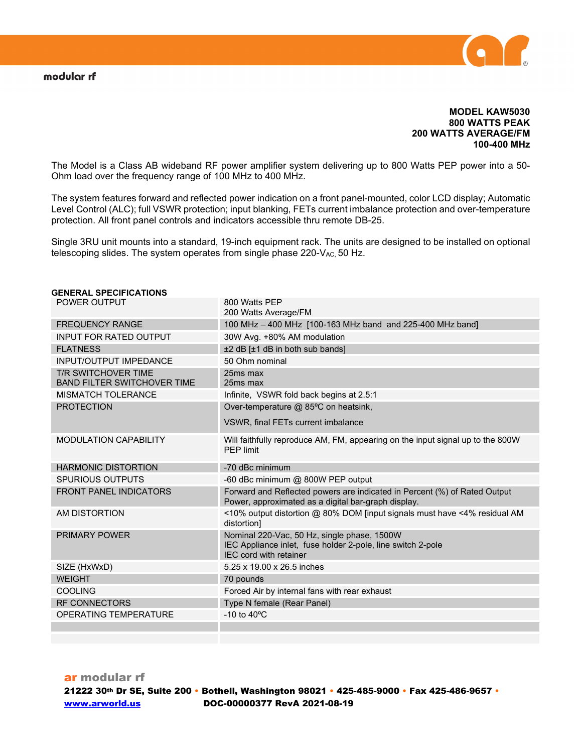**GENERAL SPECIFICATIONS**



**MODEL KAW5030 800 WATTS PEAK 200 WATTS AVERAGE/FM 100-400 MHz**

The Model is a Class AB wideband RF power amplifier system delivering up to 800 Watts PEP power into a 50- Ohm load over the frequency range of 100 MHz to 400 MHz.

The system features forward and reflected power indication on a front panel-mounted, color LCD display; Automatic Level Control (ALC); full VSWR protection; input blanking, FETs current imbalance protection and over-temperature protection. All front panel controls and indicators accessible thru remote DB-25.

Single 3RU unit mounts into a standard, 19-inch equipment rack. The units are designed to be installed on optional telescoping slides. The system operates from single phase  $220-V_{AC}$ , 50 Hz.

| POWER OUTPUT                                                     | 800 Watts PFP<br>200 Watts Average/FM                                                                                                       |
|------------------------------------------------------------------|---------------------------------------------------------------------------------------------------------------------------------------------|
| <b>FREQUENCY RANGE</b>                                           | 100 MHz - 400 MHz [100-163 MHz band and 225-400 MHz band]                                                                                   |
| <b>INPUT FOR RATED OUTPUT</b>                                    | 30W Avg. +80% AM modulation                                                                                                                 |
| <b>FLATNESS</b>                                                  | $\pm 2$ dB [ $\pm$ 1 dB in both sub bands]                                                                                                  |
| <b>INPUT/OUTPUT IMPEDANCE</b>                                    | 50 Ohm nominal                                                                                                                              |
| <b>T/R SWITCHOVER TIME</b><br><b>BAND FILTER SWITCHOVER TIME</b> | 25ms max<br>25ms max                                                                                                                        |
| <b>MISMATCH TOLERANCE</b>                                        | Infinite, VSWR fold back begins at 2.5:1                                                                                                    |
| <b>PROTECTION</b>                                                | Over-temperature @ 85°C on heatsink,                                                                                                        |
|                                                                  | VSWR, final FETs current imbalance                                                                                                          |
| <b>MODULATION CAPABILITY</b>                                     | Will faithfully reproduce AM, FM, appearing on the input signal up to the 800W<br>PEP limit                                                 |
| <b>HARMONIC DISTORTION</b>                                       | -70 dBc minimum                                                                                                                             |
| SPURIOUS OUTPUTS                                                 | -60 dBc minimum @ 800W PEP output                                                                                                           |
| <b>FRONT PANEL INDICATORS</b>                                    | Forward and Reflected powers are indicated in Percent (%) of Rated Output<br>Power, approximated as a digital bar-graph display.            |
| AM DISTORTION                                                    | <10% output distortion @ 80% DOM [input signals must have <4% residual AM<br>distortion1                                                    |
| <b>PRIMARY POWER</b>                                             | Nominal 220-Vac, 50 Hz, single phase, 1500W<br>IEC Appliance inlet, fuse holder 2-pole, line switch 2-pole<br><b>IEC</b> cord with retainer |
| SIZE (HxWxD)                                                     | 5.25 x 19.00 x 26.5 inches                                                                                                                  |
| <b>WEIGHT</b>                                                    | 70 pounds                                                                                                                                   |
| <b>COOLING</b>                                                   | Forced Air by internal fans with rear exhaust                                                                                               |
| <b>RF CONNECTORS</b>                                             | Type N female (Rear Panel)                                                                                                                  |
| <b>OPERATING TEMPERATURE</b>                                     | $-10$ to $40^{\circ}$ C                                                                                                                     |
|                                                                  |                                                                                                                                             |